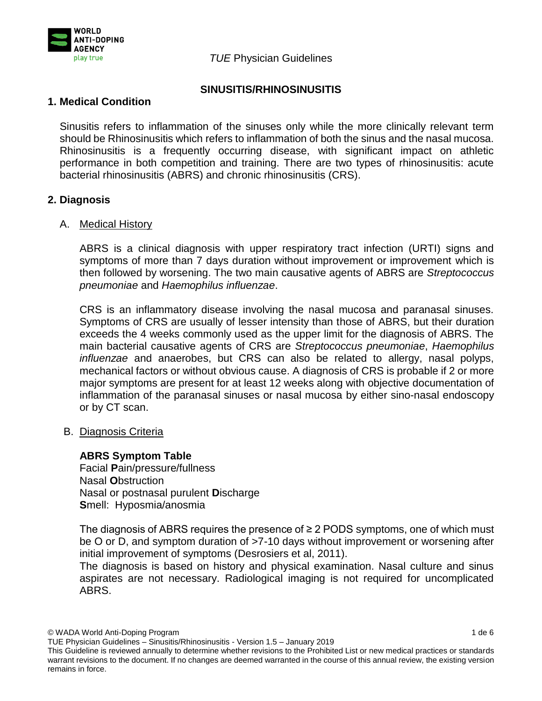

*TUE* Physician Guidelines

# **SINUSITIS/RHINOSINUSITIS**

# **1. Medical Condition**

Sinusitis refers to inflammation of the sinuses only while the more clinically relevant term should be Rhinosinusitis which refers to inflammation of both the sinus and the nasal mucosa. Rhinosinusitis is a frequently occurring disease, with significant impact on athletic performance in both competition and training. There are two types of rhinosinusitis: acute bacterial rhinosinusitis (ABRS) and chronic rhinosinusitis (CRS).

# **2. Diagnosis**

## A. Medical History

ABRS is a clinical diagnosis with upper respiratory tract infection (URTI) signs and symptoms of more than 7 days duration without improvement or improvement which is then followed by worsening. The two main causative agents of ABRS are *Streptococcus pneumoniae* and *Haemophilus influenzae*.

CRS is an inflammatory disease involving the nasal mucosa and paranasal sinuses. Symptoms of CRS are usually of lesser intensity than those of ABRS, but their duration exceeds the 4 weeks commonly used as the upper limit for the diagnosis of ABRS. The main bacterial causative agents of CRS are *Streptococcus pneumoniae*, *Haemophilus influenzae* and anaerobes, but CRS can also be related to allergy, nasal polyps, mechanical factors or without obvious cause. A diagnosis of CRS is probable if 2 or more major symptoms are present for at least 12 weeks along with objective documentation of inflammation of the paranasal sinuses or nasal mucosa by either sino-nasal endoscopy or by CT scan.

## B. Diagnosis Criteria

## **ABRS Symptom Table**

Facial **P**ain/pressure/fullness Nasal **O**bstruction Nasal or postnasal purulent **D**ischarge **S**mell: Hyposmia/anosmia

The diagnosis of ABRS requires the presence of ≥ 2 PODS symptoms, one of which must be O or D, and symptom duration of  $>7-10$  days without improvement or worsening after initial improvement of symptoms (Desrosiers et al, 2011).

The diagnosis is based on history and physical examination. Nasal culture and sinus aspirates are not necessary. Radiological imaging is not required for uncomplicated ABRS.

TUE Physician Guidelines – Sinusitis/Rhinosinusitis - Version 1.5 – January 2019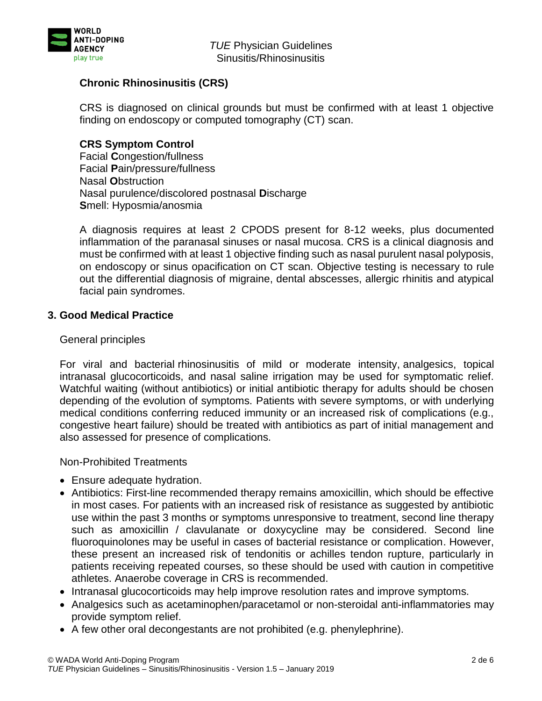

*TUE* Physician Guidelines Sinusitis/Rhinosinusitis

# **Chronic Rhinosinusitis (CRS)**

CRS is diagnosed on clinical grounds but must be confirmed with at least 1 objective finding on endoscopy or computed tomography (CT) scan.

# **CRS Symptom Control**

Facial **C**ongestion/fullness Facial **P**ain/pressure/fullness Nasal **O**bstruction Nasal purulence/discolored postnasal **D**ischarge **S**mell: Hyposmia/anosmia

A diagnosis requires at least 2 CPODS present for 8-12 weeks, plus documented inflammation of the paranasal sinuses or nasal mucosa. CRS is a clinical diagnosis and must be confirmed with at least 1 objective finding such as nasal purulent nasal polyposis, on endoscopy or sinus opacification on CT scan. Objective testing is necessary to rule out the differential diagnosis of migraine, dental abscesses, allergic rhinitis and atypical facial pain syndromes.

## **3. Good Medical Practice**

### General principles

For viral and bacterial rhinosinusitis of mild or moderate intensity, analgesics, topical intranasal glucocorticoids, and nasal saline irrigation may be used for symptomatic relief. Watchful waiting (without antibiotics) or initial antibiotic therapy for adults should be chosen depending of the evolution of symptoms. Patients with severe symptoms, or with underlying medical conditions conferring reduced immunity or an increased risk of complications (e.g., congestive heart failure) should be treated with antibiotics as part of initial management and also assessed for presence of complications.

Non-Prohibited Treatments

- Ensure adequate hydration.
- Antibiotics: First-line recommended therapy remains amoxicillin, which should be effective in most cases. For patients with an increased risk of resistance as suggested by antibiotic use within the past 3 months or symptoms unresponsive to treatment, second line therapy such as amoxicillin / clavulanate or doxycycline may be considered. Second line fluoroquinolones may be useful in cases of bacterial resistance or complication. However, these present an increased risk of tendonitis or achilles tendon rupture, particularly in patients receiving repeated courses, so these should be used with caution in competitive athletes. Anaerobe coverage in CRS is recommended.
- Intranasal glucocorticoids may help improve resolution rates and improve symptoms.
- Analgesics such as acetaminophen/paracetamol or non-steroidal anti-inflammatories may provide symptom relief.
- A few other oral decongestants are not prohibited (e.g. phenylephrine).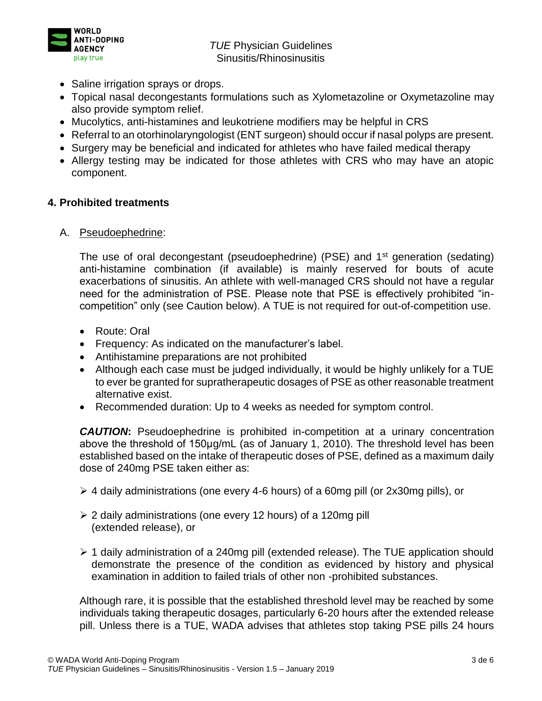

*TUE* Physician Guidelines Sinusitis/Rhinosinusitis

- Saline irrigation sprays or drops.
- Topical nasal decongestants formulations such as Xylometazoline or Oxymetazoline may also provide symptom relief.
- Mucolytics, anti-histamines and leukotriene modifiers may be helpful in CRS
- Referral to an otorhinolaryngologist (ENT surgeon) should occur if nasal polyps are present.
- Surgery may be beneficial and indicated for athletes who have failed medical therapy
- Allergy testing may be indicated for those athletes with CRS who may have an atopic component.

### **4. Prohibited treatments**

A. Pseudoephedrine:

The use of oral decongestant (pseudoephedrine) (PSE) and 1<sup>st</sup> generation (sedating) anti-histamine combination (if available) is mainly reserved for bouts of acute exacerbations of sinusitis. An athlete with well-managed CRS should not have a regular need for the administration of PSE. Please note that PSE is effectively prohibited "incompetition" only (see Caution below). A TUE is not required for out-of-competition use.

- Route: Oral
- Frequency: As indicated on the manufacturer's label.
- Antihistamine preparations are not prohibited
- Although each case must be judged individually, it would be highly unlikely for a TUE to ever be granted for supratherapeutic dosages of PSE as other reasonable treatment alternative exist.
- Recommended duration: Up to 4 weeks as needed for symptom control.

*CAUTION***:** Pseudoephedrine is prohibited in-competition at a urinary concentration above the threshold of 150μg/mL (as of January 1, 2010). The threshold level has been established based on the intake of therapeutic doses of PSE, defined as a maximum daily dose of 240mg PSE taken either as:

- ➢ 4 daily administrations (one every 4-6 hours) of a 60mg pill (or 2x30mg pills), or
- ➢ 2 daily administrations (one every 12 hours) of a 120mg pill (extended release), or
- ➢ 1 daily administration of a 240mg pill (extended release). The TUE application should demonstrate the presence of the condition as evidenced by history and physical examination in addition to failed trials of other non -prohibited substances.

Although rare, it is possible that the established threshold level may be reached by some individuals taking therapeutic dosages, particularly 6-20 hours after the extended release pill. Unless there is a TUE, WADA advises that athletes stop taking PSE pills 24 hours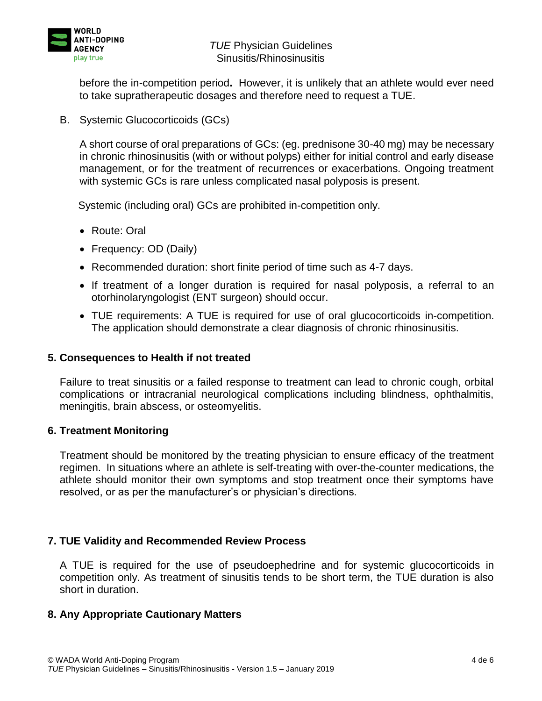

before the in-competition period**.** However, it is unlikely that an athlete would ever need to take supratherapeutic dosages and therefore need to request a TUE.

## B. Systemic Glucocorticoids (GCs)

A short course of oral preparations of GCs: (eg. prednisone 30-40 mg) may be necessary in chronic rhinosinusitis (with or without polyps) either for initial control and early disease management, or for the treatment of recurrences or exacerbations. Ongoing treatment with systemic GCs is rare unless complicated nasal polyposis is present.

Systemic (including oral) GCs are prohibited in-competition only.

- Route: Oral
- Frequency: OD (Daily)
- Recommended duration: short finite period of time such as 4-7 days.
- If treatment of a longer duration is required for nasal polyposis, a referral to an otorhinolaryngologist (ENT surgeon) should occur.
- TUE requirements: A TUE is required for use of oral glucocorticoids in-competition. The application should demonstrate a clear diagnosis of chronic rhinosinusitis.

#### **5. Consequences to Health if not treated**

Failure to treat sinusitis or a failed response to treatment can lead to chronic cough, orbital complications or intracranial neurological complications including blindness, ophthalmitis, meningitis, brain abscess, or osteomyelitis.

#### **6. Treatment Monitoring**

Treatment should be monitored by the treating physician to ensure efficacy of the treatment regimen. In situations where an athlete is self-treating with over-the-counter medications, the athlete should monitor their own symptoms and stop treatment once their symptoms have resolved, or as per the manufacturer's or physician's directions.

#### **7. TUE Validity and Recommended Review Process**

A TUE is required for the use of pseudoephedrine and for systemic glucocorticoids in competition only. As treatment of sinusitis tends to be short term, the TUE duration is also short in duration.

#### **8. Any Appropriate Cautionary Matters**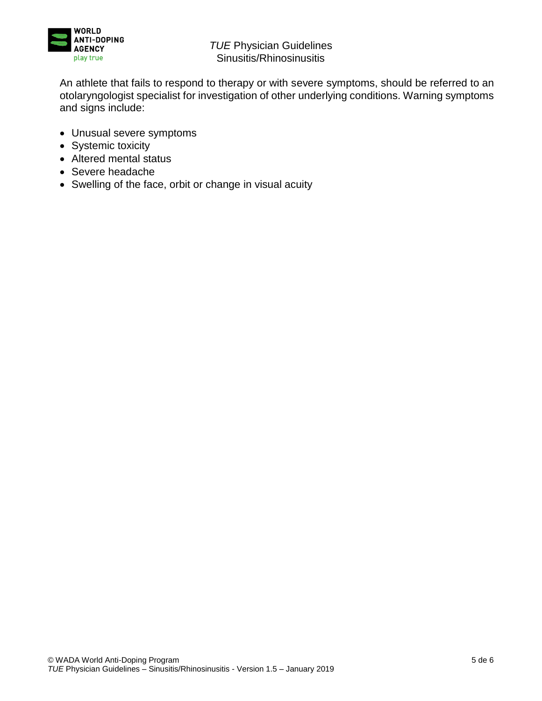

An athlete that fails to respond to therapy or with severe symptoms, should be referred to an otolaryngologist specialist for investigation of other underlying conditions. Warning symptoms and signs include:

- Unusual severe symptoms
- Systemic toxicity
- Altered mental status
- Severe headache
- Swelling of the face, orbit or change in visual acuity